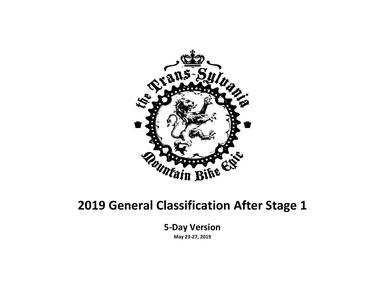

#### **2019 General Classification After Stage 1**

**5-Day Version**

**May 23-27, 2019**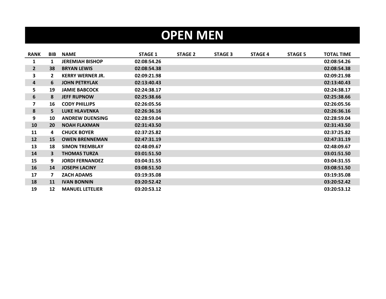## **OPEN MEN**

| <b>RANK</b>  | <b>BIB</b>   | <b>NAME</b>             | <b>STAGE 1</b> | <b>STAGE 2</b> | <b>STAGE 3</b> | <b>STAGE 4</b> | <b>STAGE 5</b> | <b>TOTAL TIME</b> |
|--------------|--------------|-------------------------|----------------|----------------|----------------|----------------|----------------|-------------------|
| 1            | 1            | <b>JEREMIAH BISHOP</b>  | 02:08:54.26    |                |                |                |                | 02:08:54.26       |
| $\mathbf{2}$ | 38           | <b>BRYAN LEWIS</b>      | 02:08:54.38    |                |                |                |                | 02:08:54.38       |
| 3            | $\mathbf{2}$ | <b>KERRY WERNER JR.</b> | 02:09:21.98    |                |                |                |                | 02:09:21.98       |
| 4            | 6            | <b>JOHN PETRYLAK</b>    | 02:13:40.43    |                |                |                |                | 02:13:40.43       |
| 5            | 19           | <b>JAMIE BABCOCK</b>    | 02:24:38.17    |                |                |                |                | 02:24:38.17       |
| 6            | 8            | <b>JEFF RUPNOW</b>      | 02:25:38.66    |                |                |                |                | 02:25:38.66       |
| 7            | 16           | <b>CODY PHILLIPS</b>    | 02:26:05.56    |                |                |                |                | 02:26:05.56       |
| 8            | 5.           | <b>LUKE HLAVENKA</b>    | 02:26:36.16    |                |                |                |                | 02:26:36.16       |
| 9            | 10           | <b>ANDREW DUENSING</b>  | 02:28:59.04    |                |                |                |                | 02:28:59.04       |
| 10           | 20           | <b>NOAH FLAXMAN</b>     | 02:31:43.50    |                |                |                |                | 02:31:43.50       |
| 11           | 4            | <b>CHUCK BOYER</b>      | 02:37:25.82    |                |                |                |                | 02:37:25.82       |
| 12           | 15           | <b>OWEN BRENNEMAN</b>   | 02:47:31.19    |                |                |                |                | 02:47:31.19       |
| 13           | 18           | <b>SIMON TREMBLAY</b>   | 02:48:09.67    |                |                |                |                | 02:48:09.67       |
| 14           | 3            | <b>THOMAS TURZA</b>     | 03:01:51.50    |                |                |                |                | 03:01:51.50       |
| 15           | 9            | <b>JORDI FERNANDEZ</b>  | 03:04:31.55    |                |                |                |                | 03:04:31.55       |
| 16           | 14           | <b>JOSEPH LACINY</b>    | 03:08:51.50    |                |                |                |                | 03:08:51.50       |
| 17           | 7            | <b>ZACH ADAMS</b>       | 03:19:35.08    |                |                |                |                | 03:19:35.08       |
| 18           | 11           | <b>IVAN BONNIN</b>      | 03:20:52.42    |                |                |                |                | 03:20:52.42       |
| 19           | 12           | <b>MANUEL LETELIER</b>  | 03:20:53.12    |                |                |                |                | 03:20:53.12       |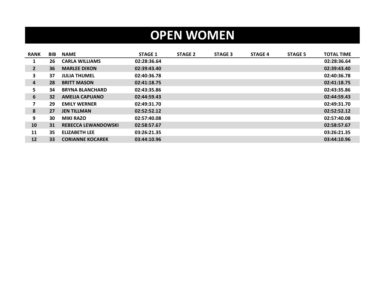## **OPEN WOMEN**

| <b>RANK</b>  | <b>BIB</b> | <b>NAME</b>                | <b>STAGE 1</b> | <b>STAGE 2</b> | <b>STAGE 3</b> | <b>STAGE 4</b> | <b>STAGE 5</b> | <b>TOTAL TIME</b> |
|--------------|------------|----------------------------|----------------|----------------|----------------|----------------|----------------|-------------------|
| 1            | 26         | <b>CARLA WILLIAMS</b>      | 02:28:36.64    |                |                |                |                | 02:28:36.64       |
| $\mathbf{2}$ | 36         | <b>MARLEE DIXON</b>        | 02:39:43.40    |                |                |                |                | 02:39:43.40       |
| 3            | 37         | <b>JULIA THUMEL</b>        | 02:40:36.78    |                |                |                |                | 02:40:36.78       |
| 4            | 28         | <b>BRITT MASON</b>         | 02:41:18.75    |                |                |                |                | 02:41:18.75       |
| 5.           | 34         | <b>BRYNA BLANCHARD</b>     | 02:43:35.86    |                |                |                |                | 02:43:35.86       |
| 6            | 32         | <b>AMELIA CAPUANO</b>      | 02:44:59.43    |                |                |                |                | 02:44:59.43       |
| 7            | 29         | <b>EMILY WERNER</b>        | 02:49:31.70    |                |                |                |                | 02:49:31.70       |
| 8            | 27         | <b>JEN TILLMAN</b>         | 02:52:52.12    |                |                |                |                | 02:52:52.12       |
| 9            | 30         | <b>MIKI RAZO</b>           | 02:57:40.08    |                |                |                |                | 02:57:40.08       |
| 10           | 31         | <b>REBECCA LEWANDOWSKI</b> | 02:58:57.67    |                |                |                |                | 02:58:57.67       |
| 11           | 35         | <b>ELIZABETH LEE</b>       | 03:26:21.35    |                |                |                |                | 03:26:21.35       |
| 12           | 33         | <b>CORIANNE KOCAREK</b>    | 03:44:10.96    |                |                |                |                | 03:44:10.96       |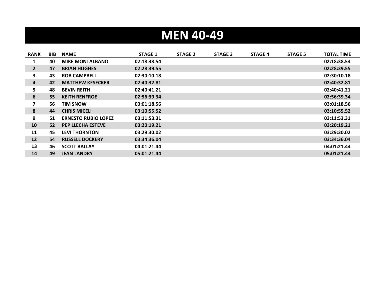# **MEN 40-49**

| <b>RANK</b>  | <b>BIB</b> | <b>NAME</b>                | <b>STAGE 1</b> | <b>STAGE 2</b> | <b>STAGE 3</b> | <b>STAGE 4</b> | <b>STAGE 5</b> | <b>TOTAL TIME</b> |
|--------------|------------|----------------------------|----------------|----------------|----------------|----------------|----------------|-------------------|
| 1            | 40         | <b>MIKE MONTALBANO</b>     | 02:18:38.54    |                |                |                |                | 02:18:38.54       |
| $\mathbf{2}$ | 47         | <b>BRIAN HUGHES</b>        | 02:28:39.55    |                |                |                |                | 02:28:39.55       |
| 3            | 43         | <b>ROB CAMPBELL</b>        | 02:30:10.18    |                |                |                |                | 02:30:10.18       |
| 4            | 42         | <b>MATTHEW KESECKER</b>    | 02:40:32.81    |                |                |                |                | 02:40:32.81       |
| 5            | 48         | <b>BEVIN REITH</b>         | 02:40:41.21    |                |                |                |                | 02:40:41.21       |
| 6            | 55         | <b>KEITH RENFROE</b>       | 02:56:39.34    |                |                |                |                | 02:56:39.34       |
| 7            | 56         | <b>TIM SNOW</b>            | 03:01:18.56    |                |                |                |                | 03:01:18.56       |
| 8            | 44         | <b>CHRIS MICELI</b>        | 03:10:55.52    |                |                |                |                | 03:10:55.52       |
| 9            | 51         | <b>ERNESTO RUBIO LOPEZ</b> | 03:11:53.31    |                |                |                |                | 03:11:53.31       |
| 10           | 52         | <b>PEP LLECHA ESTEVE</b>   | 03:20:19.21    |                |                |                |                | 03:20:19.21       |
| 11           | 45         | <b>LEVI THORNTON</b>       | 03:29:30.02    |                |                |                |                | 03:29:30.02       |
| 12           | 54         | <b>RUSSELL DOCKERY</b>     | 03:34:36.04    |                |                |                |                | 03:34:36.04       |
| 13           | 46         | <b>SCOTT BALLAY</b>        | 04:01:21.44    |                |                |                |                | 04:01:21.44       |
| 14           | 49         | <b>JEAN LANDRY</b>         | 05:01:21.44    |                |                |                |                | 05:01:21.44       |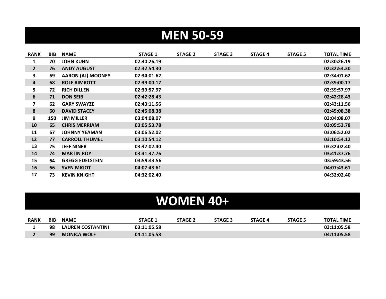## **MEN 50-59**

| <b>RANK</b>  | <b>BIB</b> | <b>NAME</b>              | <b>STAGE 1</b> | <b>STAGE 2</b> | <b>STAGE 3</b> | <b>STAGE 4</b> | <b>STAGE 5</b> | <b>TOTAL TIME</b> |
|--------------|------------|--------------------------|----------------|----------------|----------------|----------------|----------------|-------------------|
| 1            | 70         | <b>JOHN KUHN</b>         | 02:30:26.19    |                |                |                |                | 02:30:26.19       |
| $\mathbf{2}$ | 76         | <b>ANDY AUGUST</b>       | 02:32:54.30    |                |                |                |                | 02:32:54.30       |
| 3            | 69         | <b>AARON (AJ) MOONEY</b> | 02:34:01.62    |                |                |                |                | 02:34:01.62       |
| 4            | 68         | <b>ROLF RIMROTT</b>      | 02:39:00.17    |                |                |                |                | 02:39:00.17       |
| 5            | 72         | <b>RICH DILLEN</b>       | 02:39:57.97    |                |                |                |                | 02:39:57.97       |
| 6            | 71         | <b>DON SEIB</b>          | 02:42:28.43    |                |                |                |                | 02:42:28.43       |
| 7            | 62         | <b>GARY SWAYZE</b>       | 02:43:11.56    |                |                |                |                | 02:43:11.56       |
| 8            | 60         | <b>DAVID STACEY</b>      | 02:45:08.38    |                |                |                |                | 02:45:08.38       |
| 9            | 150        | <b>JIM MILLER</b>        | 03:04:08.07    |                |                |                |                | 03:04:08.07       |
| 10           | 65         | <b>CHRIS MERRIAM</b>     | 03:05:53.78    |                |                |                |                | 03:05:53.78       |
| 11           | 67         | <b>JOHNNY YEAMAN</b>     | 03:06:52.02    |                |                |                |                | 03:06:52.02       |
| 12           | 77         | <b>CARROLL THUMEL</b>    | 03:10:54.12    |                |                |                |                | 03:10:54.12       |
| 13           | 75         | <b>JEFF NINER</b>        | 03:32:02.40    |                |                |                |                | 03:32:02.40       |
| 14           | 74         | <b>MARTIN ROY</b>        | 03:41:37.76    |                |                |                |                | 03:41:37.76       |
| 15           | 64         | <b>GREGG EDELSTEIN</b>   | 03:59:43.56    |                |                |                |                | 03:59:43.56       |
| 16           | 66         | <b>SVEN MIGOT</b>        | 04:07:43.61    |                |                |                |                | 04:07:43.61       |
| 17           | 73         | <b>KEVIN KNIGHT</b>      | 04:32:02.40    |                |                |                |                | 04:32:02.40       |

## **WOMEN 40+**

| <b>RANK</b> | <b>BIB</b> | <b>NAME</b>              | STAGE 1     | <b>STAGE 2</b> | <b>STAGE 3</b> | <b>STAGE 4</b> | <b>STAGE 5</b> | <b>TOTAL TIME</b> |
|-------------|------------|--------------------------|-------------|----------------|----------------|----------------|----------------|-------------------|
|             | 98         | <b>LAUREN COSTANTINI</b> | 03:11:05.58 |                |                |                |                | 03:11:05.58       |
|             | 99         | <b>MONICA WOLF</b>       | 04:11:05.58 |                |                |                |                | 04:11:05.58       |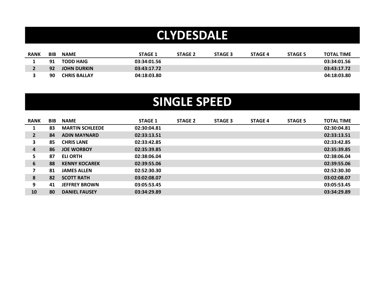### **CLYDESDALE**

| <b>RANK</b> | <b>BIB</b> | <b>NAME</b>         | <b>STAGE 1</b> | <b>STAGE 2</b> | <b>STAGE 3</b> | <b>STAGE 4</b> | <b>STAGE 5</b> | <b>TOTAL TIME</b> |
|-------------|------------|---------------------|----------------|----------------|----------------|----------------|----------------|-------------------|
|             | 91         | <b>TODD HAIG</b>    | 03:34:01.56    |                |                |                |                | 03:34:01.56       |
|             | 92         | <b>JOHN DURKIN</b>  | 03:43:17.72    |                |                |                |                | 03:43:17.72       |
|             | 90         | <b>CHRIS BALLAY</b> | 04:18:03.80    |                |                |                |                | 04:18:03.80       |

#### **SINGLE SPEED**

| <b>RANK</b>    | <b>BIB</b> | <b>NAME</b>            | <b>STAGE 1</b> | <b>STAGE 2</b> | <b>STAGE 3</b> | <b>STAGE 4</b> | <b>STAGE 5</b> | <b>TOTAL TIME</b> |
|----------------|------------|------------------------|----------------|----------------|----------------|----------------|----------------|-------------------|
|                | 83         | <b>MARTIN SCHLEEDE</b> | 02:30:04.81    |                |                |                |                | 02:30:04.81       |
| $\overline{2}$ | 84         | <b>ADIN MAYNARD</b>    | 02:33:13.51    |                |                |                |                | 02:33:13.51       |
| 3              | 85         | <b>CHRIS LANE</b>      | 02:33:42.85    |                |                |                |                | 02:33:42.85       |
| 4              | 86         | <b>JOE WORBOY</b>      | 02:35:39.85    |                |                |                |                | 02:35:39.85       |
| 5.             | 87         | <b>ELI ORTH</b>        | 02:38:06.04    |                |                |                |                | 02:38:06.04       |
| 6              | 88         | <b>KENNY KOCAREK</b>   | 02:39:55.06    |                |                |                |                | 02:39:55.06       |
| $\overline{7}$ | 81         | <b>JAMES ALLEN</b>     | 02:52:30.30    |                |                |                |                | 02:52:30.30       |
| 8              | 82         | <b>SCOTT RATH</b>      | 03:02:08.07    |                |                |                |                | 03:02:08.07       |
| 9              | 41         | <b>JEFFREY BROWN</b>   | 03:05:53.45    |                |                |                |                | 03:05:53.45       |
| 10             | 80         | <b>DANIEL FAUSEY</b>   | 03:34:29.89    |                |                |                |                | 03:34:29.89       |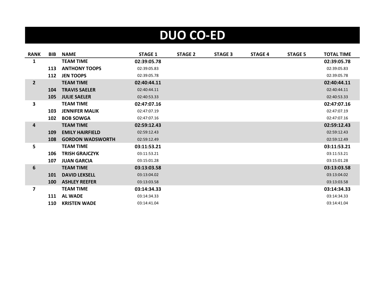# **DUO CO-ED**

| <b>RANK</b>             | <b>BIB</b> | <b>NAME</b>             | <b>STAGE 1</b> | <b>STAGE 2</b> | <b>STAGE 3</b> | <b>STAGE 4</b> | <b>STAGE 5</b> | <b>TOTAL TIME</b> |
|-------------------------|------------|-------------------------|----------------|----------------|----------------|----------------|----------------|-------------------|
| 1                       |            | <b>TEAM TIME</b>        | 02:39:05.78    |                |                |                |                | 02:39:05.78       |
|                         | 113        | <b>ANTHONY TOOPS</b>    | 02:39:05.83    |                |                |                |                | 02:39:05.83       |
|                         | 112        | <b>JEN TOOPS</b>        | 02:39:05.78    |                |                |                |                | 02:39:05.78       |
| $\overline{2}$          |            | <b>TEAM TIME</b>        | 02:40:44.11    |                |                |                |                | 02:40:44.11       |
|                         | 104        | <b>TRAVIS SAELER</b>    | 02:40:44.11    |                |                |                |                | 02:40:44.11       |
|                         | 105        | <b>JULIE SAELER</b>     | 02:40:53.33    |                |                |                |                | 02:40:53.33       |
| 3                       |            | <b>TEAM TIME</b>        | 02:47:07.16    |                |                |                |                | 02:47:07.16       |
|                         | 103        | <b>JENNIFER MALIK</b>   | 02:47:07.19    |                |                |                |                | 02:47:07.19       |
|                         | 102        | <b>BOB SOWGA</b>        | 02:47:07.16    |                |                |                |                | 02:47:07.16       |
| 4                       |            | <b>TEAM TIME</b>        | 02:59:12.43    |                |                |                |                | 02:59:12.43       |
|                         | 109        | <b>EMILY HAIRFIELD</b>  | 02:59:12.43    |                |                |                |                | 02:59:12.43       |
|                         | 108        | <b>GORDON WADSWORTH</b> | 02:59:12.49    |                |                |                |                | 02:59:12.49       |
| 5                       |            | <b>TEAM TIME</b>        | 03:11:53.21    |                |                |                |                | 03:11:53.21       |
|                         | 106        | <b>TRISH GRAJCZYK</b>   | 03:11:53.21    |                |                |                |                | 03:11:53.21       |
|                         | 107        | <b>JUAN GARCIA</b>      | 03:15:01.28    |                |                |                |                | 03:15:01.28       |
| 6                       |            | <b>TEAM TIME</b>        | 03:13:03.58    |                |                |                |                | 03:13:03.58       |
|                         | 101        | <b>DAVID LEKSELL</b>    | 03:13:04.02    |                |                |                |                | 03:13:04.02       |
|                         | <b>100</b> | <b>ASHLEY REEFER</b>    | 03:13:03.58    |                |                |                |                | 03:13:03.58       |
| $\overline{\mathbf{z}}$ |            | <b>TEAM TIME</b>        | 03:14:34.33    |                |                |                |                | 03:14:34.33       |
|                         | 111        | <b>AL WADE</b>          | 03:14:34.33    |                |                |                |                | 03:14:34.33       |
|                         | 110        | <b>KRISTEN WADE</b>     | 03:14:41.04    |                |                |                |                | 03:14:41.04       |